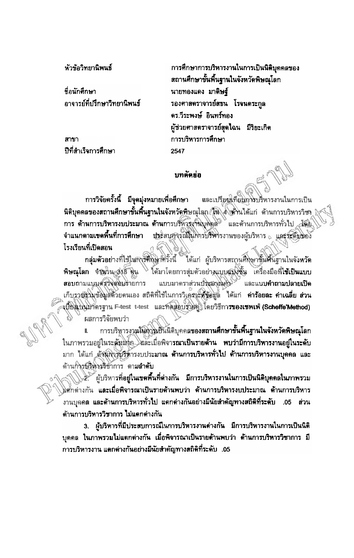ห้าข้อวิทยานิพนธ์

ที่อนักดึกษา อาจารย์ที่ปรึกษาวิทยานิพนธ์

สาขา ปีที่สำเร็จการศึกษา

การศึกษาการบริหารงานในการเป็นนิติบุคคลของ สถานศึกษาขั้นพื้นฐานในจังหวัดพิษณุโลก นายทองแดง มาคิษฐ์ รองศาสตราจารย์สธน โรจนคระกูล ดร.วีระพงษ์ อินทร์ทอง ผู้ช่วยศาสตราจารย์สุดใฉน มีริยะเกิด การบริหารการศึกษา 2547

## บทคัดย่อ

การวิจัยครั้งนี้ มีจุดมุ่งหมายเพื่อศึกษา และเปรียบเทียมการบริหารงานในการเป็น นิติบุคคลของสถานศึกษาขั้นพื้นฐานในจังหวัดพิษณุโลก (นิ่งได้ว่านได้แก่ ด้านการบริหารวิชา & การ ด้านการบริหารงบประมาณ ด้านการบริหฐรงานบุคคล<sup>ะ และ</sup>ต้านการบริหารทั่วไป<sub>ส</sub>ะมี<del>ด</del>ียุ มีระสนุการณ์ในการบริหารงานของผู้บริหาร ณ และจะดิมของ จำแนกตามเขตพื้นที่การศึกษา โรงเรียนที่เปิดสอน

กลุ่มตัวอย่างที่ใช้ในการศึกษาศรั้งนี้ ได้แก่ ผู้บริหารสถานศึกษาขั้นพื้นฐานในจังหวัด พิษณุโลก จังนาน 318 คิน <sup>ไ</sup>ด้มาโดยการสุ่มตัวอย่างแบบสมอัน เครื่องมือที่ใช้เป็นแบบ แบบมาดราส่วนปัจะมาณครั้ง และแบบคำถามปลายเปิด สอบถามแบบสรวิจิสอบรายการ เก็บรวยร่วมข้อมูลตัวยดนเอง สถิติที่ใช้ในการวิเคราะที่ข้อมูล ได้แก่ ค่าร้อยละ ค่าเฉลี่ย ส่วน งปียิงไปนมาตรฐาน F-test t-test และพิดสอบรัวย์คู่ โดยวิธีกา**รของเชพเฟ่ (Scheffe Method)** ผลการวิจัยพบว่า

การบริหารงานให้การเป็นนิติบุคคลของสถา**นศึกษาขั้นพื้นฐานในจังหวัดพิษณุโล**ก ในภาพรวมอยู่ในระดับมุ่งถุ โลละเมื่อพิจารณาเป็นรายด้าน พบว่ามีการบริหารงานอยู่ในระดับ มาก ได้แก่ ดังนี้กิ่งรับริหารงบประมาณ ต้านการบริหารทั่วไป ต้านการบริหารงานบุคคล และ ด้านกิจรบริหารอิชาการ ตามลำดับ

≳: ผู้บริหารที่อยู่ในเขตพื้นที่ต่างกัน มีการบริหารงานในการเป็นนิติบุคคลในภาพรวม ุ∖∖ศักดำงกัน และเมื่อพิจารณาเป็นรายด้านพบว่า ด้านการบริหารงบประมาณ ด้านการบริหาร งานบุคคล และด้านการบริหารทั่วไป แตกต่างกันอย่างมีนัยสำคัญทางสถิติที่ระดับ .05 ส่วน ด้านการบริหารวิชาการ ไม่แตกต่างกัน

3. ผู้บริหารที่มีประสบการณ์ในการบริหารงานต่างกัน มีการบริหารงานในการเป็นนิติ บุคคล ในภาพรวมไม่แตกต่างกัน เมื่อพิจารณาเป็นรายด้านพบว่า ด้านการบริหารวิชาการ มี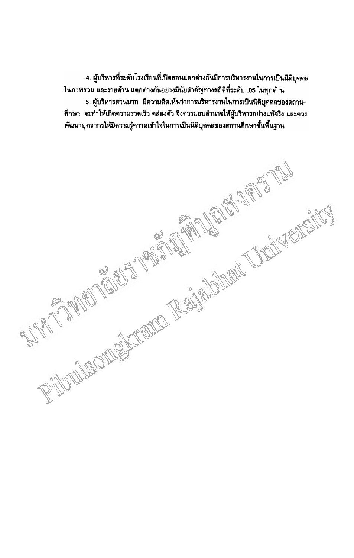4. ผู้บริหารที่ระดับโรงเรียนที่เปิดสอนแตกต่างกันมีการบริหารงานในการเป็นนิติบุคคล ในภาพรวม และรายด้าน แตกต่างกันอย่างมีนัยสำคัญทางสถิติที่ระดับ .05 ในทุกด้าน 5. ผู้บริหารส่วนมาก มีความคิดเห็นว่าการบริหารงานในการเป็นนิติบคลลของสถาน-้คึกษา จะทำให้เกิดความรวดเร็ว คล่องตัว จึงควรมอบอำนาจให้ผู้บริหารอย่างแท้จริง และควร RIOUS ONLY CREW RAINBOWER UNDERSTAND พัฒนาบุคลากรให้มีความรู้ความเข้าใจในการเป็นนิติบุคคลของสถานศึกษาขั้นพื้นฐาน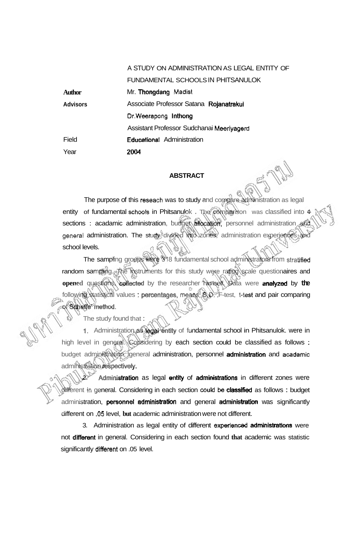A STUDY ON ADMINISTRATION AS LEGAL ENTITY OF FUNDAMENTAL SCHOOLS IN PHITSANULOK Mr. Thongdang **Madist**  Associate Professor Satana Rojanatrakul **Dr.Weerapong** lnthong Assistant Professor Sudchanai **Meeriyagerd**  Educational Administration **2004** 

## **ABSTRACT**

The purpose of this **reseach** was to study and compare administration as legal entity of fundamental **schools** in Phitsanulok . The comparison was classified into 4 sections : acadamic administration, budget allocation, personnel administration and general administration. The study divided into zones, administration experiences and school levels.

The sampling groups **were 31** 8 fundamental school administrators from **stratifid**  random sampling. The instruments for this study were rating scale questionaires and **opened** questions, collected by the researcher himself. Data were **analyzed** by the following statistical values : perwntages, **means, S.D.** ,F-test, **t-test** and pair comparing of **Scheffe' method.** 

The study found that :

**Author Advisors** 

Field

Year

**1.** Administration as *edal* entity of fundamental school in Phitsanulok. were in high level in general. Considering by each section could be classified as follows : budget administration, general administration, personnel administration and **acadamic**  administration respectivefy.

Administration as legal entity of administrations in different zones were different in general. Considering in each section could be **classified** as follows : budget administration, **personnet administration** and general **administration** was significantly different on **-05** level, **but** academic administration were not different.

3. Administration as legal entity of different **experienced** adminlstratim were not difbrent in general. Considering in each section found **that** academic was statistic significantly different on .05 level.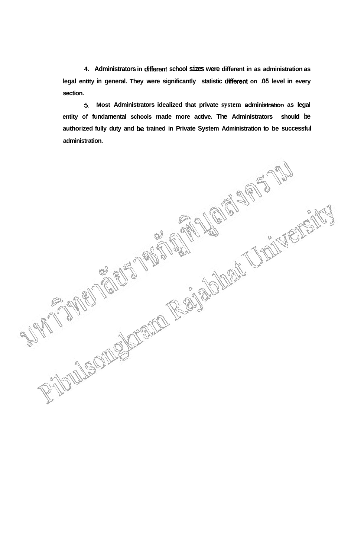**4. Administrators in different school sizes were different in as administration as legal entity in general. They were significantly statistic different on -05 level in every section.** 

**5. Most Administrators idealized that private system administration as legal entity of fundamental schools made more active. The Administrators should be authorized fully duty and be trained in Private System Administration to be successful administration.**